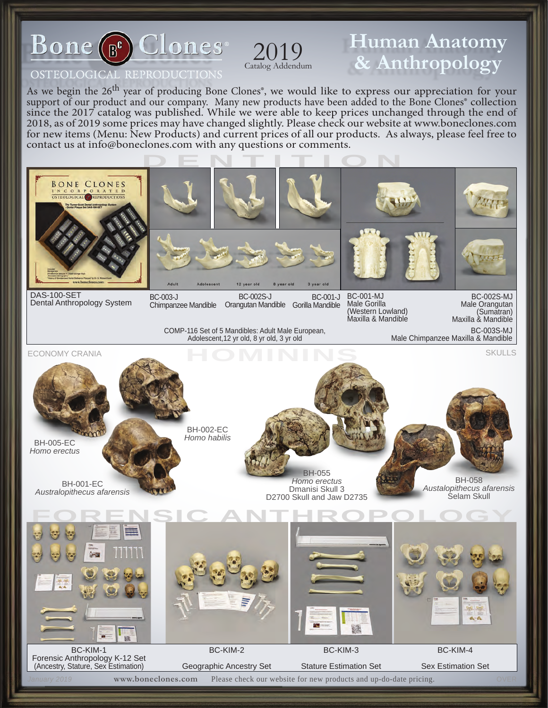

## **Human Anatomy Catalog Addendum 8.** Anthropology

#### OSTEOLOGICAL REPRODUCTIONS

As we begin the 26<sup>th</sup> year of producing Bone Clones<sup>®</sup>, we would like to express our appreciation for your support of our product and our company. Many new products have been added to the Bone Clones<sup>®</sup> collection since the 2017 catalog was published. While we were able to keep prices unchanged through the end of 2018, as of 2019 some prices may have changed slightly. Please check our website at [www.boneclones.com](http://www.boneclones.com)  for new items (Menu: New Products) and current prices of all our products. As always, please feel free to